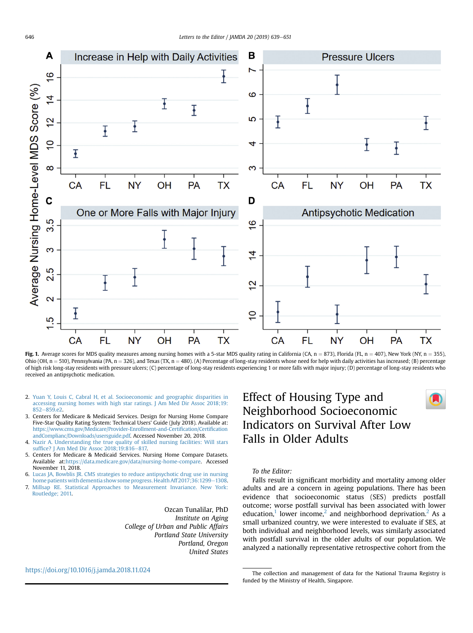

Fig. 1. Average scores for MDS quality measures among nursing homes with a 5-star MDS quality rating in California (CA, n = 873), Florida (FL, n = 407), New York (NY, n = 355), Ohio (OH, n = 510), Pennsylvania (PA, n = 326), and Texas (TX, n = 480). (A) Percentage of long-stay residents whose need for help with daily activities has increased; (B) percentage of high risk long-stay residents with pressure ulcers; (C) percentage of long-stay residents experiencing 1 or more falls with major injury; (D) percentage of long-stay residents who received an antipsychotic medication.

- 2. [Yuan Y, Louis C, Cabral H, et al. Socioeconomic and geographic disparities in](http://refhub.elsevier.com/S1525-8610(19)30002-7/sref2) [accessing nursing homes with high star ratings. J Am Med Dir Assoc 2018;19:](http://refhub.elsevier.com/S1525-8610(19)30002-7/sref2)  $852 - 859.e2$  $852 - 859.e2$  $852 - 859.e2$
- 3. Centers for Medicare & Medicaid Services. Design for Nursing Home Compare Five-Star Quality Rating System: Technical Users' Guide (July 2018). Available at: [https://www.cms.gov/Medicare/Provider-Enrollment-and-Certi](https://www.cms.gov/Medicare/Provider-Enrollment-and-Certification/CertificationandComplianc/Downloads/usersguide.pdf)fication/Certification [andComplianc/Downloads/usersguide.pdf](https://www.cms.gov/Medicare/Provider-Enrollment-and-Certification/CertificationandComplianc/Downloads/usersguide.pdf). Accessed November 20, 2018.
- 4. [Nazir A. Understanding the true quality of skilled nursing facilities: Will stars](http://refhub.elsevier.com/S1525-8610(19)30002-7/sref4) suffi[ce? J Am Med Dir Assoc 2018;19:816](http://refhub.elsevier.com/S1525-8610(19)30002-7/sref4)-[817.](http://refhub.elsevier.com/S1525-8610(19)30002-7/sref4)
- 5. Centers for Medicare & Medicaid Services. Nursing Home Compare Datasets. Available at[:https://data.medicare.gov/data/nursing-home-compare](https://data.medicare.gov/data/nursing-home-compare). Accessed November 11, 2018.
- 6. [Lucas JA, Bowblis JR. CMS strategies to reduce antipsychotic drug use in nursing](http://refhub.elsevier.com/S1525-8610(19)30002-7/sref6) [home patients with dementia show some progress. Health Aff 2017;36:1299](http://refhub.elsevier.com/S1525-8610(19)30002-7/sref6)-[1308.](http://refhub.elsevier.com/S1525-8610(19)30002-7/sref6)
- 7. [Millsap RE. Statistical Approaches to Measurement Invariance. New York:](http://refhub.elsevier.com/S1525-8610(19)30002-7/sref7) [Routledge; 2011.](http://refhub.elsevier.com/S1525-8610(19)30002-7/sref7)

Ozcan Tunalilar, PhD Institute on Aging College of Urban and Public Affairs Portland State University Portland, Oregon United States

#### <https://doi.org/10.1016/j.jamda.2018.11.024>

# Effect of Housing Type and Neighborhood Socioeconomic Indicators on Survival After Low Falls in Older Adults

To the Editor:

Falls result in significant morbidity and mortality among older adults and are a concern in ageing populations. There has been evidence that socioeconomic status (SES) predicts postfall outcome; worse postfall survival has been associated with lower education,<sup>1</sup> lower income,<sup>[2](#page-2-0)</sup> and neighborhood deprivation.<sup>2</sup> As a small urbanized country, we were interested to evaluate if SES, at both individual and neighborhood levels, was similarly associated with postfall survival in the older adults of our population. We analyzed a nationally representative retrospective cohort from the

The collection and management of data for the National Trauma Registry is funded by the Ministry of Health, Singapore.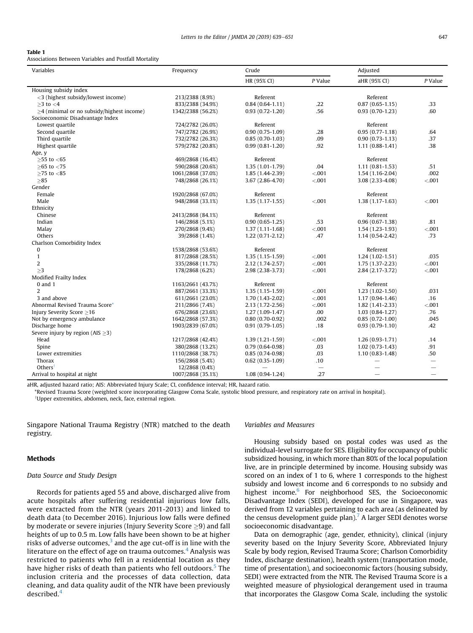#### <span id="page-1-0"></span>Table 1

Associations Between Variables and Postfall Mortality

| Variables                                       | Frequency         | Crude               |                          | Adjusted                 |                          |
|-------------------------------------------------|-------------------|---------------------|--------------------------|--------------------------|--------------------------|
|                                                 |                   | HR (95% CI)         | P Value                  | aHR (95% CI)             | $P$ Value                |
| Housing subsidy index                           |                   |                     |                          |                          |                          |
| <3 (highest subsidy/lowest income)              | 213/2388 (8.9%)   | Referent            |                          | Referent                 |                          |
| $>3$ to $<$ 4                                   | 833/2388 (34.9%)  | $0.84(0.64 - 1.11)$ | .22                      | $0.87(0.65 - 1.15)$      | .33                      |
| $\geq$ 4 (minimal or no subsidy/highest income) | 1342/2388 (56.2%) | $0.93(0.72 - 1.20)$ | .56                      | $0.93(0.70-1.23)$        | .60                      |
| Socioeconomic Disadvantage Index                |                   |                     |                          |                          |                          |
| Lowest quartile                                 | 724/2782 (26.0%)  | Referent            |                          | Referent                 |                          |
| Second quartile                                 | 747/2782 (26.9%)  | $0.90(0.75-1.09)$   | .28                      | $0.95(0.77-1.18)$        | .64                      |
| Third quartile                                  | 732/2782 (26.3%)  | $0.85(0.70-1.03)$   | .09                      | $0.90(0.73 - 1.13)$      | .37                      |
| Highest quartile                                | 579/2782 (20.8%)  | $0.99(0.81 - 1.20)$ | .92                      | $1.11(0.88-1.41)$        | .38                      |
| Age, y                                          |                   |                     |                          |                          |                          |
| $>55$ to $< 65$                                 | 469/2868 (16.4%)  | Referent            |                          | Referent                 |                          |
| $>65$ to $< 75$                                 | 590/2868 (20.6%)  | $1.35(1.01-1.79)$   | .04                      | $1.11(0.81 - 1.53)$      | .51                      |
| ${\geq}25$ to ${<}85$                           | 1061/2868 (37.0%) | 1.85 (1.44-2.39)    | < .001                   | $1.54(1.16-2.04)$        | .002                     |
| >85                                             | 748/2868 (26.1%)  | 3.67 (2.86-4.70)    | < .001                   | 3.08 (2.33-4.08)         | < .001                   |
| Gender                                          |                   |                     |                          |                          |                          |
| Female                                          | 1920/2868 (67.0%) | Referent            |                          | Referent                 |                          |
| Male                                            | 948/2868 (33.1%)  | $1.35(1.17-1.55)$   | < .001                   | $1.38(1.17-1.63)$        | < .001                   |
| Ethnicity                                       |                   |                     |                          |                          |                          |
| Chinese                                         | 2413/2868 (84.1%) | Referent            |                          | Referent                 |                          |
| Indian                                          | 146/2868 (5.1%)   | $0.90(0.65 - 1.25)$ | .53                      | $0.96(0.67-1.38)$        | .81                      |
| Malay                                           | 270/2868 (9.4%)   | $1.37(1.11 - 1.68)$ | < .001                   | $1.54(1.23-1.93)$        | < .001                   |
| Others                                          | 39/2868 (1.4%)    | $1.22(0.71-2.12)$   | .47                      | $1.14(0.54 - 2.42)$      | .73                      |
| Charlson Comorbidity Index                      |                   |                     |                          |                          |                          |
| $\pmb{0}$                                       | 1538/2868 (53.6%) | Referent            |                          | Referent                 |                          |
| $\mathbf{1}$                                    | 817/2868 (28.5%)  | $1.35(1.15-1.59)$   | < .001                   | $1.24(1.02-1.51)$        | .035                     |
| $\overline{2}$                                  | 335/2868 (11.7%)  | 2.12 (1.74-2.57)    | < .001                   | $1.75(1.37-2.23)$        | < .001                   |
| >3                                              | 178/2868 (6.2%)   | 2.98 (2.38-3.73)    | < .001                   | 2.84 (2.17-3.72)         | < .001                   |
| Modified Frailty Index                          |                   |                     |                          |                          |                          |
| $0$ and $1$                                     | 1163/2661 (43.7%) | Referent            |                          | Referent                 |                          |
| $\overline{2}$                                  | 887/2661 (33.3%)  | $1.35(1.15-1.59)$   | < .001                   | $1.23(1.02-1.50)$        | .031                     |
| 3 and above                                     | 611/2661 (23.0%)  | $1.70(1.43 - 2.02)$ | < .001                   | $1.17(0.94 - 1.46)$      | .16                      |
| Abnormal Revised Trauma Score*                  | 211/2866 (7.4%)   | 2.13 (1.72-2.56)    | < .001                   | $1.82(1.41 - 2.33)$      | < .001                   |
| Injury Severity Score $\geq$ 16                 | 676/2868 (23.6%)  | $1.27(1.09-1.47)$   | .00                      | $1.03(0.84-1.27)$        | .76                      |
| Not by emergency ambulance                      | 1642/2868 (57.3%) | $0.80(0.70-0.92)$   | .002                     | $0.85(0.72 - 1.00)$      | .045                     |
| Discharge home                                  | 1903/2839 (67.0%) | $0.91(0.79-1.05)$   | .18                      | $0.93(0.79-1.10)$        | .42                      |
| Severe injury by region (AIS $\geq$ 3)          |                   |                     |                          |                          |                          |
| Head                                            | 1217/2868 (42.4%) | $1.39(1.21-1.59)$   | < .001                   | $1.26(0.93-1.71)$        | .14                      |
| Spine                                           | 380/2868 (13.2%)  | $0.79(0.64 - 0.98)$ | .03                      | $1.02(0.73-1.43)$        | .91                      |
| Lower extremities                               | 1110/2868 (38.7%) | $0.85(0.74-0.98)$   | .03                      | $1.10(0.83 - 1.48)$      | .50                      |
| Thorax                                          | 156/2868 (5.4%)   | $0.62(0.35-1.09)$   | .10                      |                          | $\overline{\phantom{0}}$ |
| Others                                          | 12/2868 (0.4%)    |                     | $\overline{\phantom{0}}$ |                          |                          |
| Arrival to hospital at night                    | 1007/2868 (35.1%) | $1.08(0.94-1.24)$   | .27                      | $\overline{\phantom{0}}$ | $\overline{\phantom{0}}$ |

aHR, adjusted hazard ratio; AIS: Abbreviated Injury Scale; CI, confidence interval; HR, hazard ratio.

\*Revised Trauma Score (weighted score incorporating Glasgow Coma Scale, systolic blood pressure, and respiratory rate on arrival in hospital).

†Upper extremities, abdomen, neck, face, external region.

Singapore National Trauma Registry (NTR) matched to the death registry.

#### Methods

#### Data Source and Study Design

Records for patients aged 55 and above, discharged alive from acute hospitals after suffering residential injurious low falls, were extracted from the NTR (years 2011-2013) and linked to death data (to December 2016). Injurious low falls were defined by moderate or severe injuries (Injury Severity Score  $\geq$ 9) and fall heights of up to 0.5 m. Low falls have been shown to be at higher risks of adverse outcomes, $3$  and the age cut-off is in line with the literature on the effect of age on trauma outcomes. $4$  Analysis was restricted to patients who fell in a residential location as they have higher risks of death than patients who fell outdoors.<sup>[5](#page-2-0)</sup> The inclusion criteria and the processes of data collection, data cleaning, and data quality audit of the NTR have been previously described <sup>[4](#page-2-0)</sup>

#### Variables and Measures

Housing subsidy based on postal codes was used as the individual-level surrogate for SES. Eligibility for occupancy of public subsidized housing, in which more than 80% of the local population live, are in principle determined by income. Housing subsidy was scored on an index of 1 to 6, where 1 corresponds to the highest subsidy and lowest income and 6 corresponds to no subsidy and highest income.<sup>[6](#page-2-0)</sup> For neighborhood SES, the Socioeconomic Disadvantage Index (SEDI), developed for use in Singapore, was derived from 12 variables pertaining to each area (as delineated by the census development guide plan). $\frac{7}{1}$  A larger SEDI denotes worse socioeconomic disadvantage.

Data on demographic (age, gender, ethnicity), clinical (injury severity based on the Injury Severity Score, Abbreviated Injury Scale by body region, Revised Trauma Score; Charlson Comorbidity Index, discharge destination), health system (transportation mode, time of presentation), and socioeconomic factors (housing subsidy, SEDI) were extracted from the NTR. The Revised Trauma Score is a weighted measure of physiological derangement used in trauma that incorporates the Glasgow Coma Scale, including the systolic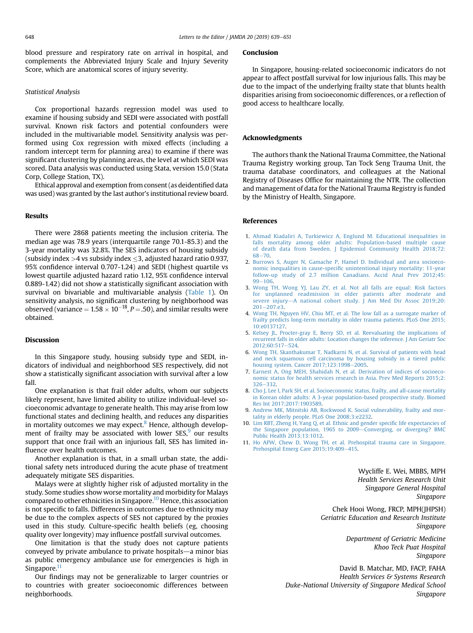<span id="page-2-0"></span>blood pressure and respiratory rate on arrival in hospital, and complements the Abbreviated Injury Scale and Injury Severity Score, which are anatomical scores of injury severity.

#### Statistical Analysis

Cox proportional hazards regression model was used to examine if housing subsidy and SEDI were associated with postfall survival. Known risk factors and potential confounders were included in the multivariable model. Sensitivity analysis was performed using Cox regression with mixed effects (including a random intercept term for planning area) to examine if there was significant clustering by planning areas, the level at which SEDI was scored. Data analysis was conducted using Stata, version 15.0 (Stata Corp, College Station, TX).

Ethical approval and exemption from consent (as deidentified data was used) was granted by the last author's institutional review board.

#### Results

There were 2868 patients meeting the inclusion criteria. The median age was 78.9 years (interquartile range 70.1-85.3) and the 3-year mortality was 32.8%. The SES indicators of housing subsidy (subsidy index  $>4$  vs subsidy index  $\leq$ 3, adjusted hazard ratio 0.937, 95% confidence interval 0.707-1.24) and SEDI (highest quartile vs lowest quartile adjusted hazard ratio 1.12, 95% confidence interval 0.889-1.42) did not show a statistically significant association with survival on bivariable and multivariable analysis ([Table 1\)](#page-1-0). On sensitivity analysis, no significant clustering by neighborhood was observed (variance =  $1.58 \times 10^{-18}$ , P = .50), and similar results were obtained.

#### Discussion

In this Singapore study, housing subsidy type and SEDI, indicators of individual and neighborhood SES respectively, did not show a statistically significant association with survival after a low fall.

One explanation is that frail older adults, whom our subjects likely represent, have limited ability to utilize individual-level socioeconomic advantage to generate health. This may arise from low functional states and declining health, and reduces any disparities in mortality outcomes we may expect. $8$  Hence, although development of frailty may be associated with lower  $SES<sup>9</sup>$  our results support that once frail with an injurious fall, SES has limited influence over health outcomes.

Another explanation is that, in a small urban state, the additional safety nets introduced during the acute phase of treatment adequately mitigate SES disparities.

Malays were at slightly higher risk of adjusted mortality in the study. Some studies show worse mortality and morbidity for Malays compared to other ethnicities in Singapore.<sup>10</sup> Hence, this association is not specific to falls. Differences in outcomes due to ethnicity may be due to the complex aspects of SES not captured by the proxies used in this study. Culture-specific health beliefs (eg, choosing quality over longevity) may influence postfall survival outcomes.

One limitation is that the study does not capture patients conveyed by private ambulance to private hospitals—a minor bias as public emergency ambulance use for emergencies is high in Singapore.<sup>11</sup>

Our findings may not be generalizable to larger countries or to countries with greater socioeconomic differences between neighborhoods.

#### Conclusion

In Singapore, housing-related socioeconomic indicators do not appear to affect postfall survival for low injurious falls. This may be due to the impact of the underlying frailty state that blunts health disparities arising from socioeconomic differences, or a reflection of good access to healthcare locally.

#### Acknowledgments

The authors thank the National Trauma Committee, the National Trauma Registry working group, Tan Tock Seng Trauma Unit, the trauma database coordinators, and colleagues at the National Registry of Diseases Office for maintaining the NTR. The collection and management of data for the National Trauma Registry is funded by the Ministry of Health, Singapore.

#### References

- 1. [Ahmad Kiadaliri A, Turkiewicz A, Englund M. Educational inequalities in](http://refhub.elsevier.com/S1525-8610(18)30725-4/sref1) [falls mortality among older adults: Population-based multiple cause](http://refhub.elsevier.com/S1525-8610(18)30725-4/sref1) [of death data from Sweden. J Epidemiol Community Health 2018;72:](http://refhub.elsevier.com/S1525-8610(18)30725-4/sref1) [68](http://refhub.elsevier.com/S1525-8610(18)30725-4/sref1)-[70](http://refhub.elsevier.com/S1525-8610(18)30725-4/sref1).
- 2. [Burrows S, Auger N, Gamache P, Hamel D. Individual and area socioeco](http://refhub.elsevier.com/S1525-8610(19)30002-7/sref2)nomic inequalities in cause-specifi[c unintentional injury mortality: 11-year](http://refhub.elsevier.com/S1525-8610(19)30002-7/sref2) [follow-up study of 2.7 million Canadians. Accid Anal Prev 2012;45:](http://refhub.elsevier.com/S1525-8610(19)30002-7/sref2)  $99 - 106$  $99 - 106$  $99 - 106$
- 3. [Wong TH, Wong YJ, Lau ZY, et al. Not all falls are equal: Risk factors](http://refhub.elsevier.com/S1525-8610(18)30725-4/sref3) [for unplanned readmission in older patients after moderate and](http://refhub.elsevier.com/S1525-8610(18)30725-4/sref3) [severe injury](http://refhub.elsevier.com/S1525-8610(18)30725-4/sref3)-[A national cohort study. J Am Med Dir Assoc 2019;20:](http://refhub.elsevier.com/S1525-8610(18)30725-4/sref3)  $201 - 207.$  $201 - 207.$ e3.
- 4. [Wong TH, Nguyen HV, Chiu MT, et al. The low fall as a surrogate marker of](http://refhub.elsevier.com/S1525-8610(19)30002-7/sref4) [frailty predicts long-term mortality in older trauma patients. PLoS One 2015;](http://refhub.elsevier.com/S1525-8610(19)30002-7/sref4) [10:e0137127.](http://refhub.elsevier.com/S1525-8610(19)30002-7/sref4)
- 5. [Kelsey JL, Procter-gray E, Berry SD, et al. Reevaluating the implications of](http://refhub.elsevier.com/S1525-8610(18)30725-4/sref5) [recurrent falls in older adults: Location changes the inference. J Am Geriatr Soc](http://refhub.elsevier.com/S1525-8610(18)30725-4/sref5) [2012;60:517](http://refhub.elsevier.com/S1525-8610(18)30725-4/sref5)-[524.](http://refhub.elsevier.com/S1525-8610(18)30725-4/sref5)
- 6. [Wong TH, Skanthakumar T, Nadkarni N, et al. Survival of patients with head](http://refhub.elsevier.com/S1525-8610(19)30002-7/sref6) [and neck squamous cell carcinoma by housing subsidy in a tiered public](http://refhub.elsevier.com/S1525-8610(19)30002-7/sref6) housing system. Cancer  $2017;123:1998-2005$ .
- 7. [Earnest A, Ong MEH, Shahidah N, et al. Derivation of indices of socioeco](http://refhub.elsevier.com/S1525-8610(19)30002-7/sref7)[nomic status for health services research in Asia. Prev Med Reports 2015;2:](http://refhub.elsevier.com/S1525-8610(19)30002-7/sref7)  $326 - 332$  $326 - 332$  $326 - 332$ .
- 8. Cho J, Lee J, Park SH, et al. Socioeconomic status, frailty, and all-cause mortality [in Korean older adults: A 3-year population-based prospective study. Biomed](http://refhub.elsevier.com/S1525-8610(18)30725-4/sref8) [Res Int 2017;2017:1903589.](http://refhub.elsevier.com/S1525-8610(18)30725-4/sref8)
- 9. [Andrew MK, Mitnitski AB, Rockwood K. Social vulnerability, frailty and mor](http://refhub.elsevier.com/S1525-8610(18)30725-4/sref9)[tality in elderly people. PLoS One 2008;3:e2232](http://refhub.elsevier.com/S1525-8610(18)30725-4/sref9).
- 10. [Lim RBT, Zheng H, Yang Q, et al. Ethnic and gender speci](http://refhub.elsevier.com/S1525-8610(18)30725-4/sref10)fic life expectancies of [the Singapore population, 1965 to 2009](http://refhub.elsevier.com/S1525-8610(18)30725-4/sref10)-[Converging, or diverging? BMC](http://refhub.elsevier.com/S1525-8610(18)30725-4/sref10) [Public Health 2013;13:1012.](http://refhub.elsevier.com/S1525-8610(18)30725-4/sref10)
- 11. [Ho AFW, Chew D, Wong TH, et al. Prehospital trauma care in Singapore.](http://refhub.elsevier.com/S1525-8610(18)30725-4/sref11) [Prehospital Emerg Care 2015;19:409](http://refhub.elsevier.com/S1525-8610(18)30725-4/sref11)-[415](http://refhub.elsevier.com/S1525-8610(18)30725-4/sref11).

Wycliffe E. Wei, MBBS, MPH Health Services Research Unit Singapore General Hospital Singapore

Chek Hooi Wong, FRCP, MPH(JHPSH) Geriatric Education and Research Institute Singapore

> Department of Geriatric Medicine Khoo Teck Puat Hospital Singapore

David B. Matchar, MD, FACP, FAHA Health Services & Systems Research Duke-National University of Singapore Medical School Singapore